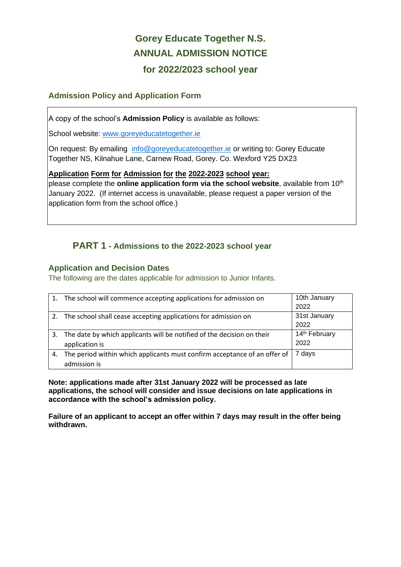# **Gorey Educate Together N.S. ANNUAL ADMISSION NOTICE for 2022/2023 school year**

#### **Admission Policy and Application Form**

A copy of the school's **Admission Policy** is available as follows:

School website: www.goreyeducatetogether.ie

On request: By emailing [info@goreyeducatetogether.ie](mailto:info@goreyeducatetogether.ie) or writing to: Gorey Educate Together NS, Kilnahue Lane, Carnew Road, Gorey. Co. Wexford Y25 DX23

#### **Application Form for Admission for the 2022-2023 school year:**

please complete the **online application form via the school website**, available from 10<sup>th</sup> January 2022. (If internet access is unavailable, please request a paper version of the application form from the school office.)

## **PART 1 - Admissions to the 2022-2023 school year**

#### **Application and Decision Dates**

The following are the dates applicable for admission to Junior Infants.

|    | The school will commence accepting applications for admission on                          | 10th January<br>2022              |
|----|-------------------------------------------------------------------------------------------|-----------------------------------|
|    | The school shall cease accepting applications for admission on                            | 31st January<br>2022              |
|    | The date by which applicants will be notified of the decision on their<br>application is  | 14 <sup>th</sup> February<br>2022 |
| 4. | The period within which applicants must confirm acceptance of an offer of<br>admission is | 7 days                            |

**Note: applications made after 31st January 2022 will be processed as late applications, the school will consider and issue decisions on late applications in accordance with the school's admission policy.**

**Failure of an applicant to accept an offer within 7 days may result in the offer being withdrawn.**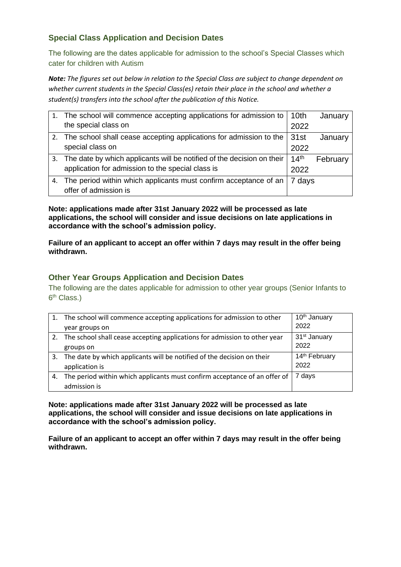### **Special Class Application and Decision Dates**

The following are the dates applicable for admission to the school's Special Classes which cater for children with Autism

*Note: The figures set out below in relation to the Special Class are subject to change dependent on whether current students in the Special Class(es) retain their place in the school and whether a student(s) transfers into the school after the publication of this Notice.*

|    | 1. The school will commence accepting applications for admission to   10th |                  | January  |
|----|----------------------------------------------------------------------------|------------------|----------|
|    | the special class on                                                       | 2022             |          |
|    | 2. The school shall cease accepting applications for admission to the      | 31st             | January  |
|    | special class on                                                           | 2022             |          |
|    | 3. The date by which applicants will be notified of the decision on their  | 14 <sup>th</sup> | February |
|    | application for admission to the special class is                          | 2022             |          |
| 4. | The period within which applicants must confirm acceptance of an           | days             |          |
|    | offer of admission is                                                      |                  |          |

**Note: applications made after 31st January 2022 will be processed as late applications, the school will consider and issue decisions on late applications in accordance with the school's admission policy.**

**Failure of an applicant to accept an offer within 7 days may result in the offer being withdrawn.**

#### **Other Year Groups Application and Decision Dates**

The following are the dates applicable for admission to other year groups (Senior Infants to 6<sup>th</sup> Class.)

|    | The school will commence accepting applications for admission to other       | 10 <sup>th</sup> January  |
|----|------------------------------------------------------------------------------|---------------------------|
|    | year groups on                                                               | 2022                      |
|    | 2. The school shall cease accepting applications for admission to other year | 31 <sup>st</sup> January  |
|    | groups on                                                                    | 2022                      |
| 3. | The date by which applicants will be notified of the decision on their       | 14 <sup>th</sup> February |
|    | application is                                                               | 2022                      |
| 4. | The period within which applicants must confirm acceptance of an offer of    | 7 days                    |
|    | admission is                                                                 |                           |

**Note: applications made after 31st January 2022 will be processed as late applications, the school will consider and issue decisions on late applications in accordance with the school's admission policy.**

**Failure of an applicant to accept an offer within 7 days may result in the offer being withdrawn.**